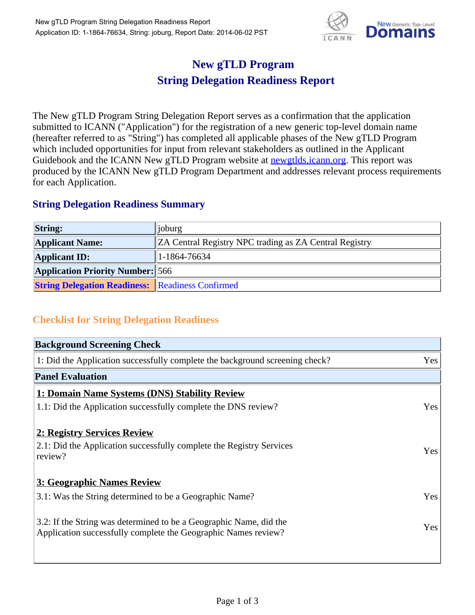

## **New gTLD Program String Delegation Readiness Report**

The New gTLD Program String Delegation Report serves as a confirmation that the application submitted to ICANN ("Application") for the registration of a new generic top-level domain name (hereafter referred to as "String") has completed all applicable phases of the New gTLD Program which included opportunities for input from relevant stakeholders as outlined in the Applicant Guidebook and the ICANN New gTLD Program website at newgtlds.icann.org. This report was produced by the ICANN New gTLD Program Department and addresses relevant process requirements for each Application.

## **String Delegation Readiness Summary**

| <b>String:</b>                                          | $\ i_{\text{oburg}}\ $                                        |
|---------------------------------------------------------|---------------------------------------------------------------|
| <b>Applicant Name:</b>                                  | <b>ZA Central Registry NPC trading as ZA Central Registry</b> |
| <b>Applicant ID:</b>                                    | $1-1864-76634$                                                |
| <b>Application Priority Number:</b> 566                 |                                                               |
| <b>String Delegation Readiness:</b> Readiness Confirmed |                                                               |

## **Checklist for String Delegation Readiness**

| <b>Background Screening Check</b> |  |  |
|-----------------------------------|--|--|
| Yes                               |  |  |
|                                   |  |  |
|                                   |  |  |
| Yes                               |  |  |
|                                   |  |  |
| <b>Yes</b>                        |  |  |
|                                   |  |  |
| Yes                               |  |  |
| Yes                               |  |  |
|                                   |  |  |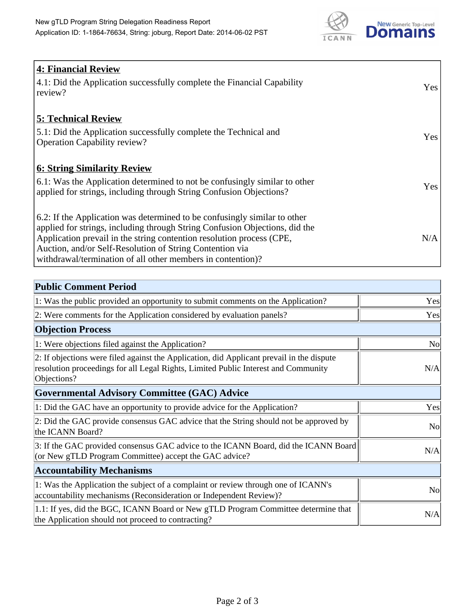

| <b>4: Financial Review</b><br>$\vert$ 4.1: Did the Application successfully complete the Financial Capability |            |
|---------------------------------------------------------------------------------------------------------------|------------|
| review?                                                                                                       | <b>Yes</b> |
| <b>5: Technical Review</b>                                                                                    |            |
| 5.1: Did the Application successfully complete the Technical and                                              | <b>Yes</b> |
| <b>Operation Capability review?</b>                                                                           |            |
| <b>6: String Similarity Review</b>                                                                            |            |
| $\vert$ 6.1: Was the Application determined to not be confusingly similar to other                            | Yes        |
| applied for strings, including through String Confusion Objections?                                           |            |
| 6.2: If the Application was determined to be confusingly similar to other                                     |            |
| applied for strings, including through String Confusion Objections, did the                                   |            |
| Application prevail in the string contention resolution process (CPE,                                         | N/A        |
| Auction, and/or Self-Resolution of String Contention via                                                      |            |
| withdrawal/termination of all other members in contention)?                                                   |            |

| <b>Public Comment Period</b>                                                                                                                                                                   |                |
|------------------------------------------------------------------------------------------------------------------------------------------------------------------------------------------------|----------------|
| 1: Was the public provided an opportunity to submit comments on the Application?                                                                                                               | Yes            |
| 2: Were comments for the Application considered by evaluation panels?                                                                                                                          | Yes            |
| <b>Objection Process</b>                                                                                                                                                                       |                |
| 1: Were objections filed against the Application?                                                                                                                                              | <b>No</b>      |
| 2: If objections were filed against the Application, did Applicant prevail in the dispute<br>resolution proceedings for all Legal Rights, Limited Public Interest and Community<br>Objections? | N/A            |
| Governmental Advisory Committee (GAC) Advice                                                                                                                                                   |                |
| 1: Did the GAC have an opportunity to provide advice for the Application?                                                                                                                      | Yes            |
| 2: Did the GAC provide consensus GAC advice that the String should not be approved by<br>the ICANN Board?                                                                                      | N <sub>o</sub> |
| 3: If the GAC provided consensus GAC advice to the ICANN Board, did the ICANN Board<br>(or New gTLD Program Committee) accept the GAC advice?                                                  | N/A            |
| <b>Accountability Mechanisms</b>                                                                                                                                                               |                |
| 1: Was the Application the subject of a complaint or review through one of ICANN's<br>accountability mechanisms (Reconsideration or Independent Review)?                                       | No             |
| 1.1: If yes, did the BGC, ICANN Board or New gTLD Program Committee determine that<br>the Application should not proceed to contracting?                                                       | N/A            |